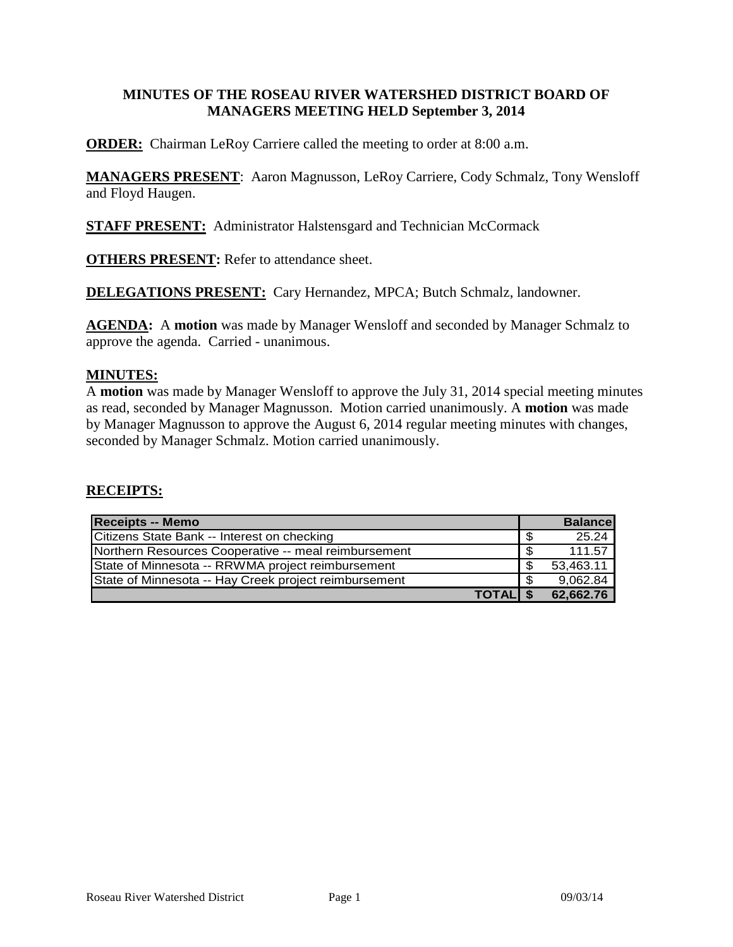### **MINUTES OF THE ROSEAU RIVER WATERSHED DISTRICT BOARD OF MANAGERS MEETING HELD September 3, 2014**

**ORDER:** Chairman LeRoy Carriere called the meeting to order at 8:00 a.m.

**MANAGERS PRESENT**: Aaron Magnusson, LeRoy Carriere, Cody Schmalz, Tony Wensloff and Floyd Haugen.

**STAFF PRESENT:** Administrator Halstensgard and Technician McCormack

**OTHERS PRESENT:** Refer to attendance sheet.

**DELEGATIONS PRESENT:** Cary Hernandez, MPCA; Butch Schmalz, landowner.

**AGENDA:** A **motion** was made by Manager Wensloff and seconded by Manager Schmalz to approve the agenda. Carried - unanimous.

#### **MINUTES:**

A **motion** was made by Manager Wensloff to approve the July 31, 2014 special meeting minutes as read, seconded by Manager Magnusson. Motion carried unanimously. A **motion** was made by Manager Magnusson to approve the August 6, 2014 regular meeting minutes with changes, seconded by Manager Schmalz. Motion carried unanimously.

#### **RECEIPTS:**

| Receipts -- Memo                                      |      | <b>Balance</b> |
|-------------------------------------------------------|------|----------------|
| Citizens State Bank -- Interest on checking           | - \$ | 25.24          |
| Northern Resources Cooperative -- meal reimbursement  | \$   | 111.57         |
| State of Minnesota -- RRWMA project reimbursement     | - \$ | 53,463.11      |
| State of Minnesota -- Hay Creek project reimbursement | - \$ | 9,062.84       |
| <b>TOTALIS</b>                                        |      | 62,662.76      |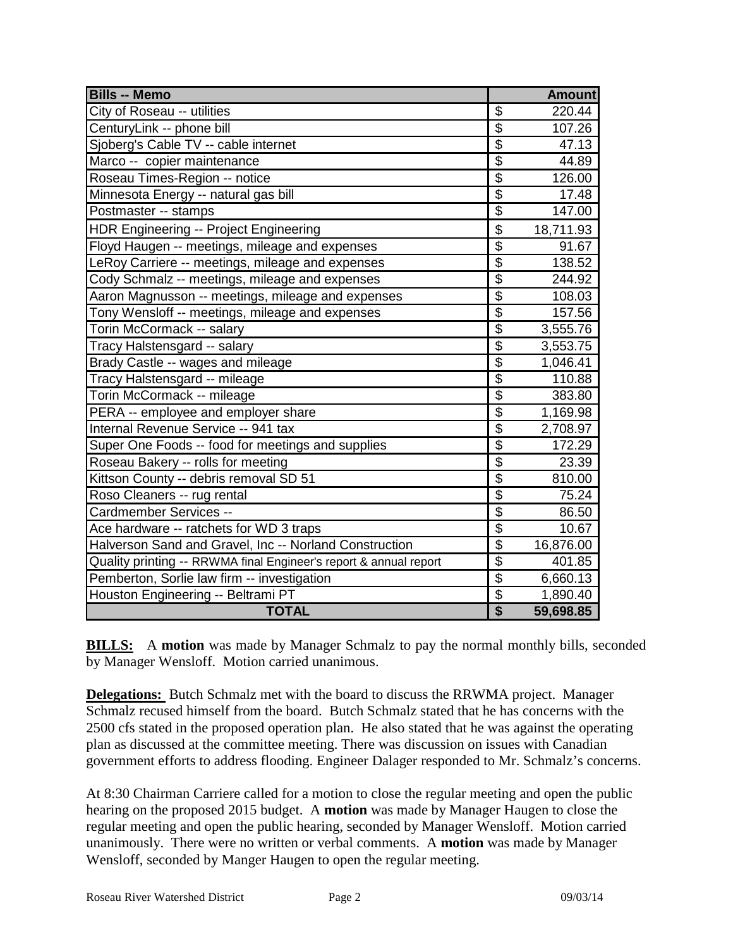| <b>Bills -- Memo</b>                                              |                                      | <b>Amount</b> |
|-------------------------------------------------------------------|--------------------------------------|---------------|
| City of Roseau -- utilities                                       | \$                                   | 220.44        |
| CenturyLink -- phone bill                                         | \$                                   | 107.26        |
| Sjoberg's Cable TV -- cable internet                              | $\overline{\$}$                      | 47.13         |
| Marco -- copier maintenance                                       | $\overline{\$}$                      | 44.89         |
| Roseau Times-Region -- notice                                     | \$                                   | 126.00        |
| Minnesota Energy -- natural gas bill                              | $\overline{\$}$                      | 17.48         |
| Postmaster -- stamps                                              | $\overline{\$}$                      | 147.00        |
| <b>HDR Engineering -- Project Engineering</b>                     | $\overline{\$}$                      | 18,711.93     |
| Floyd Haugen -- meetings, mileage and expenses                    | $\overline{\$}$                      | 91.67         |
| LeRoy Carriere -- meetings, mileage and expenses                  | $\overline{\mathcal{E}}$             | 138.52        |
| Cody Schmalz -- meetings, mileage and expenses                    | $\overline{\$}$                      | 244.92        |
| Aaron Magnusson -- meetings, mileage and expenses                 | $\overline{\$}$                      | 108.03        |
| Tony Wensloff -- meetings, mileage and expenses                   | $\overline{\$}$                      | 157.56        |
| Torin McCormack -- salary                                         | $\overline{\$}$                      | 3,555.76      |
| Tracy Halstensgard -- salary                                      | $\overline{\$}$                      | 3,553.75      |
| Brady Castle -- wages and mileage                                 | $\overline{\$}$                      | 1,046.41      |
| Tracy Halstensgard -- mileage                                     | $\overline{\$}$                      | 110.88        |
| Torin McCormack -- mileage                                        | $\overline{\$}$                      | 383.80        |
| PERA -- employee and employer share                               | $\frac{6}{9}$                        | 1,169.98      |
| Internal Revenue Service -- 941 tax                               |                                      | 2,708.97      |
| Super One Foods -- food for meetings and supplies                 | $\overline{\$}$                      | 172.29        |
| Roseau Bakery -- rolls for meeting                                | $\overline{\$}$                      | 23.39         |
| Kittson County -- debris removal SD 51                            | $\overline{\$}$                      | 810.00        |
| Roso Cleaners -- rug rental                                       | $\overline{\$}$                      | 75.24         |
| Cardmember Services --                                            | $\overline{\$}$                      | 86.50         |
| Ace hardware -- ratchets for WD 3 traps                           | $\overline{\$}$                      | 10.67         |
| Halverson Sand and Gravel, Inc -- Norland Construction            | $\overline{\$}$                      | 16,876.00     |
| Quality printing -- RRWMA final Engineer's report & annual report | $\overline{\$}$                      | 401.85        |
| Pemberton, Sorlie law firm -- investigation                       | $\overline{\$}$                      | 6,660.13      |
| Houston Engineering -- Beltrami PT                                | \$                                   | 1,890.40      |
| <b>TOTAL</b>                                                      | $\overline{\boldsymbol{\mathsf{S}}}$ | 59,698.85     |

**BILLS:** A motion was made by Manager Schmalz to pay the normal monthly bills, seconded by Manager Wensloff. Motion carried unanimous.

**Delegations:** Butch Schmalz met with the board to discuss the RRWMA project. Manager Schmalz recused himself from the board. Butch Schmalz stated that he has concerns with the 2500 cfs stated in the proposed operation plan. He also stated that he was against the operating plan as discussed at the committee meeting. There was discussion on issues with Canadian government efforts to address flooding. Engineer Dalager responded to Mr. Schmalz's concerns.

At 8:30 Chairman Carriere called for a motion to close the regular meeting and open the public hearing on the proposed 2015 budget. A **motion** was made by Manager Haugen to close the regular meeting and open the public hearing, seconded by Manager Wensloff. Motion carried unanimously. There were no written or verbal comments. A **motion** was made by Manager Wensloff, seconded by Manger Haugen to open the regular meeting.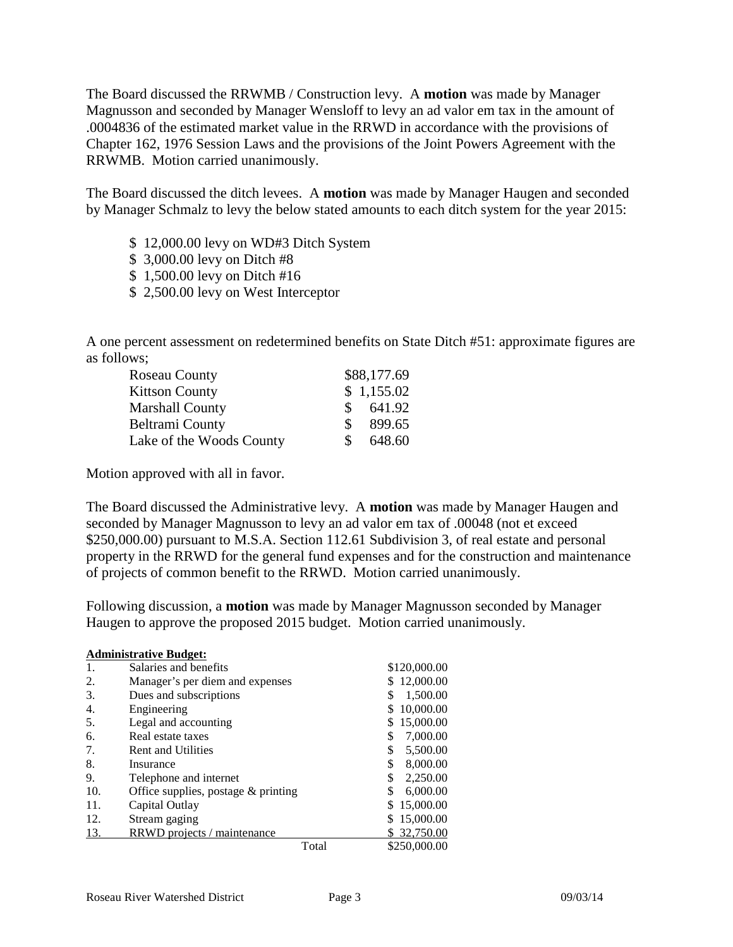The Board discussed the RRWMB / Construction levy. A **motion** was made by Manager Magnusson and seconded by Manager Wensloff to levy an ad valor em tax in the amount of .0004836 of the estimated market value in the RRWD in accordance with the provisions of Chapter 162, 1976 Session Laws and the provisions of the Joint Powers Agreement with the RRWMB. Motion carried unanimously.

The Board discussed the ditch levees. A **motion** was made by Manager Haugen and seconded by Manager Schmalz to levy the below stated amounts to each ditch system for the year 2015:

- \$ 12,000.00 levy on WD#3 Ditch System
- \$ 3,000.00 levy on Ditch #8
- \$ 1,500.00 levy on Ditch #16
- \$ 2,500.00 levy on West Interceptor

A one percent assessment on redetermined benefits on State Ditch #51: approximate figures are as follows;

| Roseau County            |    | \$88,177.69 |
|--------------------------|----|-------------|
| <b>Kittson County</b>    |    | \$1,155.02  |
| Marshall County          | S. | 641.92      |
| Beltrami County          | S. | 899.65      |
| Lake of the Woods County | S. | 648.60      |

Motion approved with all in favor.

The Board discussed the Administrative levy. A **motion** was made by Manager Haugen and seconded by Manager Magnusson to levy an ad valor em tax of .00048 (not et exceed \$250,000.00) pursuant to M.S.A. Section 112.61 Subdivision 3, of real estate and personal property in the RRWD for the general fund expenses and for the construction and maintenance of projects of common benefit to the RRWD. Motion carried unanimously.

Following discussion, a **motion** was made by Manager Magnusson seconded by Manager Haugen to approve the proposed 2015 budget. Motion carried unanimously.

| <b>Administrative Budget:</b> |                                       |       |                |  |
|-------------------------------|---------------------------------------|-------|----------------|--|
| 1.                            | Salaries and benefits                 |       | \$120,000.00   |  |
| 2.                            | Manager's per diem and expenses       |       | 12,000.00      |  |
| 3.                            | Dues and subscriptions                |       | 1,500.00       |  |
| 4.                            | Engineering                           |       | 10,000.00      |  |
| 5.                            | Legal and accounting                  |       | 15,000.00      |  |
| 6.                            | Real estate taxes                     |       | 7,000.00<br>S  |  |
| 7.                            | <b>Rent and Utilities</b>             |       | \$<br>5,500.00 |  |
| 8.                            | Insurance                             |       | \$<br>8,000.00 |  |
| 9.                            | Telephone and internet                |       | 2,250.00<br>\$ |  |
| 10.                           | Office supplies, postage $&$ printing |       | 6,000.00<br>\$ |  |
| 11.                           | Capital Outlay                        |       | 15,000.00      |  |
| 12.                           | Stream gaging                         |       | 15,000.00      |  |
| 13.                           | RRWD projects / maintenance           |       | 32,750.00      |  |
|                               |                                       | Total | \$250,000.00   |  |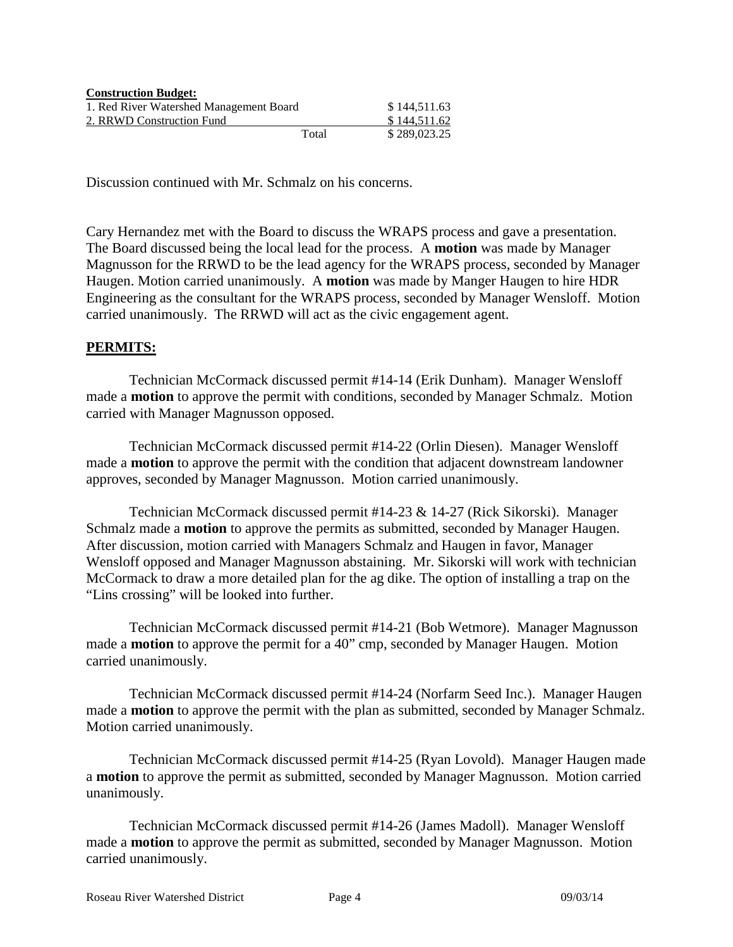| <b>Construction Budget:</b>             |       |              |
|-----------------------------------------|-------|--------------|
| 1. Red River Watershed Management Board |       | \$144,511.63 |
| 2. RRWD Construction Fund               |       | \$144,511,62 |
|                                         | Total | \$289,023.25 |

Discussion continued with Mr. Schmalz on his concerns.

Cary Hernandez met with the Board to discuss the WRAPS process and gave a presentation. The Board discussed being the local lead for the process. A **motion** was made by Manager Magnusson for the RRWD to be the lead agency for the WRAPS process, seconded by Manager Haugen. Motion carried unanimously. A **motion** was made by Manger Haugen to hire HDR Engineering as the consultant for the WRAPS process, seconded by Manager Wensloff. Motion carried unanimously. The RRWD will act as the civic engagement agent.

### **PERMITS:**

Technician McCormack discussed permit #14-14 (Erik Dunham). Manager Wensloff made a **motion** to approve the permit with conditions, seconded by Manager Schmalz. Motion carried with Manager Magnusson opposed.

Technician McCormack discussed permit #14-22 (Orlin Diesen). Manager Wensloff made a **motion** to approve the permit with the condition that adjacent downstream landowner approves, seconded by Manager Magnusson. Motion carried unanimously.

Technician McCormack discussed permit #14-23 & 14-27 (Rick Sikorski). Manager Schmalz made a **motion** to approve the permits as submitted, seconded by Manager Haugen. After discussion, motion carried with Managers Schmalz and Haugen in favor, Manager Wensloff opposed and Manager Magnusson abstaining. Mr. Sikorski will work with technician McCormack to draw a more detailed plan for the ag dike. The option of installing a trap on the "Lins crossing" will be looked into further.

Technician McCormack discussed permit #14-21 (Bob Wetmore). Manager Magnusson made a **motion** to approve the permit for a 40" cmp, seconded by Manager Haugen. Motion carried unanimously.

Technician McCormack discussed permit #14-24 (Norfarm Seed Inc.). Manager Haugen made a **motion** to approve the permit with the plan as submitted, seconded by Manager Schmalz. Motion carried unanimously.

Technician McCormack discussed permit #14-25 (Ryan Lovold). Manager Haugen made a **motion** to approve the permit as submitted, seconded by Manager Magnusson. Motion carried unanimously.

Technician McCormack discussed permit #14-26 (James Madoll). Manager Wensloff made a **motion** to approve the permit as submitted, seconded by Manager Magnusson. Motion carried unanimously.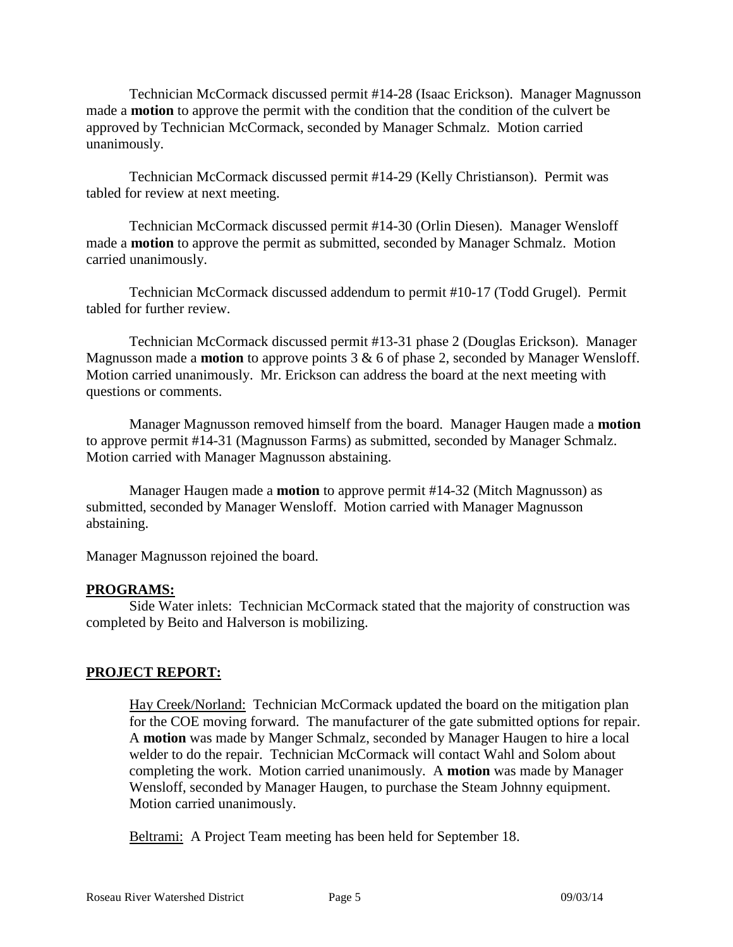Technician McCormack discussed permit #14-28 (Isaac Erickson). Manager Magnusson made a **motion** to approve the permit with the condition that the condition of the culvert be approved by Technician McCormack, seconded by Manager Schmalz. Motion carried unanimously.

Technician McCormack discussed permit #14-29 (Kelly Christianson). Permit was tabled for review at next meeting.

Technician McCormack discussed permit #14-30 (Orlin Diesen). Manager Wensloff made a **motion** to approve the permit as submitted, seconded by Manager Schmalz. Motion carried unanimously.

Technician McCormack discussed addendum to permit #10-17 (Todd Grugel). Permit tabled for further review.

Technician McCormack discussed permit #13-31 phase 2 (Douglas Erickson). Manager Magnusson made a **motion** to approve points 3 & 6 of phase 2, seconded by Manager Wensloff. Motion carried unanimously. Mr. Erickson can address the board at the next meeting with questions or comments.

Manager Magnusson removed himself from the board. Manager Haugen made a **motion** to approve permit #14-31 (Magnusson Farms) as submitted, seconded by Manager Schmalz. Motion carried with Manager Magnusson abstaining.

Manager Haugen made a **motion** to approve permit #14-32 (Mitch Magnusson) as submitted, seconded by Manager Wensloff. Motion carried with Manager Magnusson abstaining.

Manager Magnusson rejoined the board.

#### **PROGRAMS:**

Side Water inlets: Technician McCormack stated that the majority of construction was completed by Beito and Halverson is mobilizing.

# **PROJECT REPORT:**

Hay Creek/Norland: Technician McCormack updated the board on the mitigation plan for the COE moving forward. The manufacturer of the gate submitted options for repair. A **motion** was made by Manger Schmalz, seconded by Manager Haugen to hire a local welder to do the repair. Technician McCormack will contact Wahl and Solom about completing the work. Motion carried unanimously. A **motion** was made by Manager Wensloff, seconded by Manager Haugen, to purchase the Steam Johnny equipment. Motion carried unanimously.

Beltrami: A Project Team meeting has been held for September 18.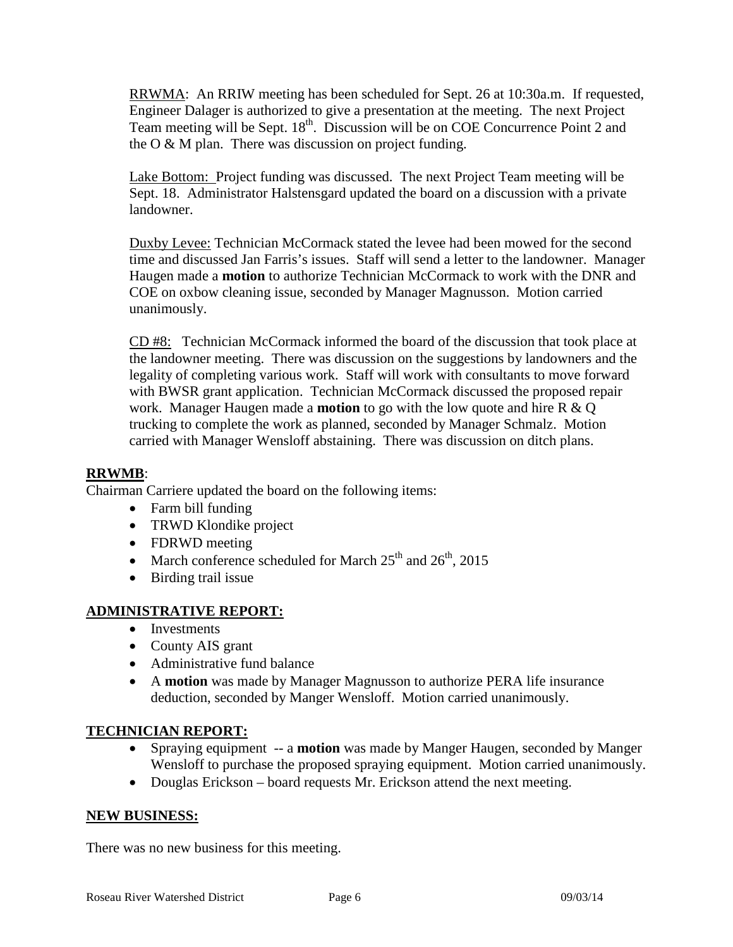RRWMA: An RRIW meeting has been scheduled for Sept. 26 at 10:30a.m. If requested, Engineer Dalager is authorized to give a presentation at the meeting. The next Project Team meeting will be Sept. 18<sup>th</sup>. Discussion will be on COE Concurrence Point 2 and the  $O & M$  plan. There was discussion on project funding.

Lake Bottom: Project funding was discussed. The next Project Team meeting will be Sept. 18. Administrator Halstensgard updated the board on a discussion with a private landowner.

Duxby Levee: Technician McCormack stated the levee had been mowed for the second time and discussed Jan Farris's issues. Staff will send a letter to the landowner. Manager Haugen made a **motion** to authorize Technician McCormack to work with the DNR and COE on oxbow cleaning issue, seconded by Manager Magnusson. Motion carried unanimously.

CD #8: Technician McCormack informed the board of the discussion that took place at the landowner meeting. There was discussion on the suggestions by landowners and the legality of completing various work. Staff will work with consultants to move forward with BWSR grant application. Technician McCormack discussed the proposed repair work. Manager Haugen made a **motion** to go with the low quote and hire R & Q trucking to complete the work as planned, seconded by Manager Schmalz. Motion carried with Manager Wensloff abstaining. There was discussion on ditch plans.

# **RRWMB**:

Chairman Carriere updated the board on the following items:

- Farm bill funding
- TRWD Klondike project
- FDRWD meeting
- March conference scheduled for March  $25<sup>th</sup>$  and  $26<sup>th</sup>$ , 2015
- Birding trail issue

# **ADMINISTRATIVE REPORT:**

- Investments
- County AIS grant
- Administrative fund balance
- A **motion** was made by Manager Magnusson to authorize PERA life insurance deduction, seconded by Manger Wensloff. Motion carried unanimously.

# **TECHNICIAN REPORT:**

- Spraying equipment -- a **motion** was made by Manger Haugen, seconded by Manger Wensloff to purchase the proposed spraying equipment. Motion carried unanimously.
- Douglas Erickson board requests Mr. Erickson attend the next meeting.

#### **NEW BUSINESS:**

There was no new business for this meeting.